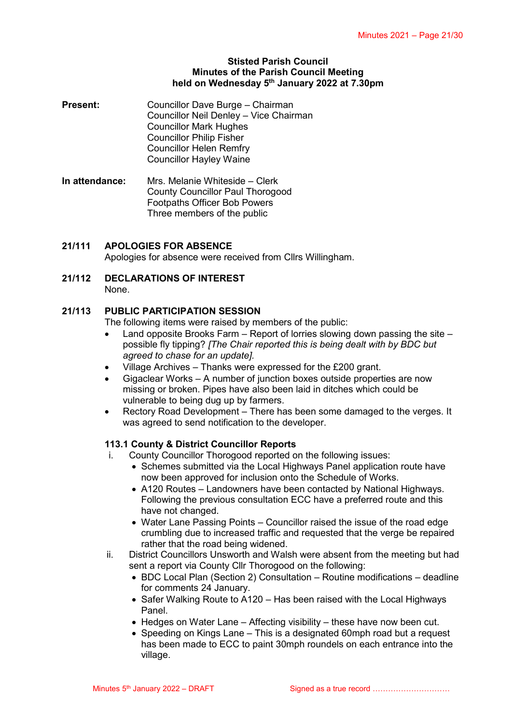#### **Stisted Parish Council Minutes of the Parish Council Meeting held on Wednesday 5 th January 2022 at 7.30pm**

- **Present:** Councillor Dave Burge Chairman Councillor Neil Denley – Vice Chairman Councillor Mark Hughes Councillor Philip Fisher Councillor Helen Remfry Councillor Hayley Waine
- **In attendance:** Mrs. Melanie Whiteside Clerk County Councillor Paul Thorogood Footpaths Officer Bob Powers Three members of the public

### **21/111 APOLOGIES FOR ABSENCE**

Apologies for absence were received from Cllrs Willingham.

**21/112 DECLARATIONS OF INTEREST** None.

#### **21/113 PUBLIC PARTICIPATION SESSION**

The following items were raised by members of the public:

- Land opposite Brooks Farm Report of lorries slowing down passing the site possible fly tipping? *[The Chair reported this is being dealt with by BDC but agreed to chase for an update].*
- Village Archives Thanks were expressed for the £200 grant.
- Gigaclear Works A number of junction boxes outside properties are now missing or broken. Pipes have also been laid in ditches which could be vulnerable to being dug up by farmers.
- Rectory Road Development There has been some damaged to the verges. It was agreed to send notification to the developer.

#### **113.1 County & District Councillor Reports**

- County Councillor Thorogood reported on the following issues:
	- Schemes submitted via the Local Highways Panel application route have now been approved for inclusion onto the Schedule of Works.
	- A120 Routes Landowners have been contacted by National Highways. Following the previous consultation ECC have a preferred route and this have not changed.
	- Water Lane Passing Points Councillor raised the issue of the road edge crumbling due to increased traffic and requested that the verge be repaired rather that the road being widened.
- ii. District Councillors Unsworth and Walsh were absent from the meeting but had sent a report via County Cllr Thorogood on the following:
	- BDC Local Plan (Section 2) Consultation Routine modifications deadline for comments 24 January.
	- Safer Walking Route to A120 Has been raised with the Local Highways Panel.
	- Hedges on Water Lane Affecting visibility these have now been cut.
	- Speeding on Kings Lane This is a designated 60mph road but a request has been made to ECC to paint 30mph roundels on each entrance into the village.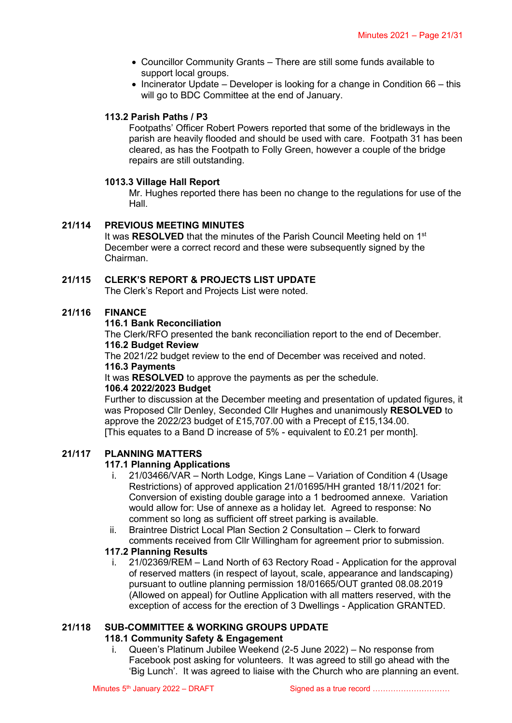- Councillor Community Grants There are still some funds available to support local groups.
- $\bullet$  Incinerator Update Developer is looking for a change in Condition 66 this will go to BDC Committee at the end of January.

# **113.2 Parish Paths / P3**

Footpaths' Officer Robert Powers reported that some of the bridleways in the parish are heavily flooded and should be used with care. Footpath 31 has been cleared, as has the Footpath to Folly Green, however a couple of the bridge repairs are still outstanding.

### **1013.3 Village Hall Report**

Mr. Hughes reported there has been no change to the regulations for use of the Hall.

### **21/114 PREVIOUS MEETING MINUTES**

It was RESOLVED that the minutes of the Parish Council Meeting held on 1<sup>st</sup> December were a correct record and these were subsequently signed by the Chairman.

### **21/115 CLERK'S REPORT & PROJECTS LIST UPDATE**

The Clerk's Report and Projects List were noted.

#### **21/116 FINANCE**

#### **116.1 Bank Reconciliation**

The Clerk/RFO presented the bank reconciliation report to the end of December. **116.2 Budget Review**

The 2021/22 budget review to the end of December was received and noted. **116.3 Payments**

It was **RESOLVED** to approve the payments as per the schedule.

#### **106.4 2022/2023 Budget**

Further to discussion at the December meeting and presentation of updated figures, it was Proposed Cllr Denley, Seconded Cllr Hughes and unanimously **RESOLVED** to approve the 2022/23 budget of £15,707.00 with a Precept of £15,134.00. [This equates to a Band D increase of 5% - equivalent to £0.21 per month].

### **21/117 PLANNING MATTERS**

### **117.1 Planning Applications**

- i. 21/03466/VAR North Lodge, Kings Lane Variation of Condition 4 (Usage Restrictions) of approved application 21/01695/HH granted 18/11/2021 for: Conversion of existing double garage into a 1 bedroomed annexe. Variation would allow for: Use of annexe as a holiday let. Agreed to response: No comment so long as sufficient off street parking is available.
- ii. Braintree District Local Plan Section 2 Consultation Clerk to forward comments received from Cllr Willingham for agreement prior to submission.

#### **117.2 Planning Results**

i. 21/02369/REM – Land North of 63 Rectory Road - Application for the approval of reserved matters (in respect of layout, scale, appearance and landscaping) pursuant to outline planning permission 18/01665/OUT granted 08.08.2019 (Allowed on appeal) for Outline Application with all matters reserved, with the exception of access for the erection of 3 Dwellings - Application GRANTED.

#### **21/118 SUB-COMMITTEE & WORKING GROUPS UPDATE**

### **118.1 Community Safety & Engagement**

i. Queen's Platinum Jubilee Weekend (2-5 June 2022) – No response from Facebook post asking for volunteers. It was agreed to still go ahead with the 'Big Lunch'. It was agreed to liaise with the Church who are planning an event.